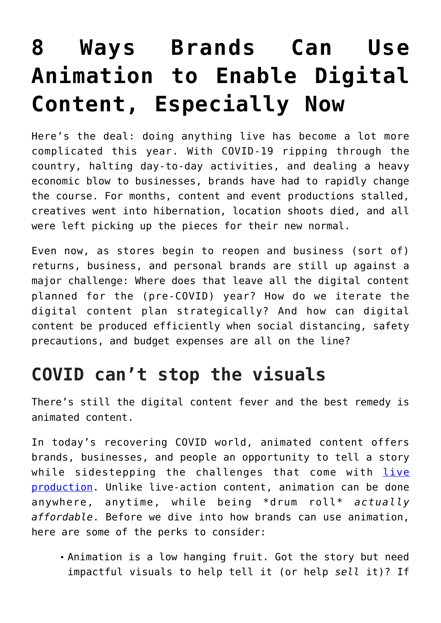# **[8 Ways Brands Can Use](https://foodfightstudios.com/8-ways-brand-can-use-animation-for-digital-content/) [Animation to Enable Digital](https://foodfightstudios.com/8-ways-brand-can-use-animation-for-digital-content/) [Content, Especially Now](https://foodfightstudios.com/8-ways-brand-can-use-animation-for-digital-content/)**

Here's the deal: doing anything live has become a lot more complicated this year. With COVID-19 ripping through the country, halting day-to-day activities, and dealing a heavy economic blow to businesses, brands have had to rapidly change the course. For months, content and event productions stalled, creatives went into hibernation, location shoots died, and all were left picking up the pieces for their new normal.

Even now, as stores begin to reopen and business (sort of) returns, business, and personal brands are still up against a major challenge: Where does that leave all the digital content planned for the (pre-COVID) year? How do we iterate the digital content plan strategically? And how can digital content be produced efficiently when social distancing, safety precautions, and budget expenses are all on the line?

## **COVID can't stop the visuals**

There's still the digital content fever and the best remedy is animated content.

In today's recovering COVID world, animated content offers brands, businesses, and people an opportunity to tell a story while sidestepping the challenges that come with [live](https://foodfightstudios.com/the-lab/) [production](https://foodfightstudios.com/the-lab/). Unlike live-action content, animation can be done anywhere, anytime, while being \*drum roll\* *actually affordable*. Before we dive into how brands can use animation, here are some of the perks to consider:

Animation is a low hanging fruit. Got the story but need impactful visuals to help tell it (or help *sell* it)? If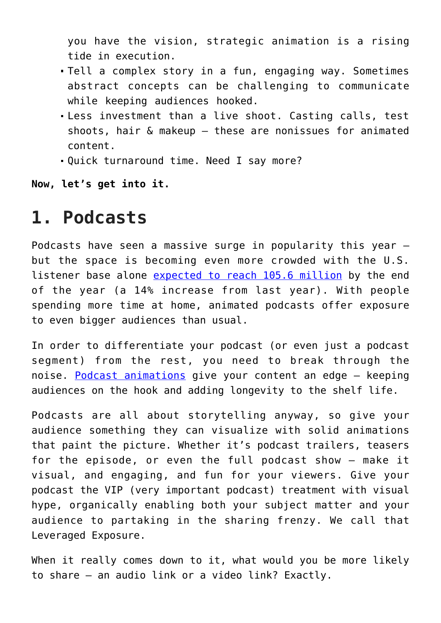you have the vision, strategic animation is a rising tide in execution.

- Tell a complex story in a fun, engaging way. Sometimes abstract concepts can be challenging to communicate while keeping audiences hooked.
- Less investment than a live shoot. Casting calls, test shoots, hair & makeup – these are nonissues for animated content.
- Quick turnaround time. Need I say more?

**Now, let's get into it.**

# **1. Podcasts**

Podcasts have seen a massive surge in popularity this year – but the space is becoming even more crowded with the U.S. listener base alone [expected to reach 105.6 million](https://www.emarketer.com/content/us-podcast-listeners-will-surpass-100-million-this-year) by the end of the year (a 14% increase from last year). With people spending more time at home, animated podcasts offer exposure to even bigger audiences than usual.

In order to differentiate your podcast (or even just a podcast segment) from the rest, you need to break through the noise. [Podcast animations](https://www.foodfightstudios.com/ffs1/podcast-animations/) give your content an edge – keeping audiences on the hook and adding longevity to the shelf life.

Podcasts are all about storytelling anyway, so give your audience something they can visualize with solid animations that paint the picture. Whether it's podcast trailers, teasers for the episode, or even the full podcast show – make it visual, and engaging, and fun for your viewers. Give your podcast the VIP (very important podcast) treatment with visual hype, organically enabling both your subject matter and your audience to partaking in the sharing frenzy. We call that Leveraged Exposure.

When it really comes down to it, what would you be more likely to share – an audio link or a video link? Exactly.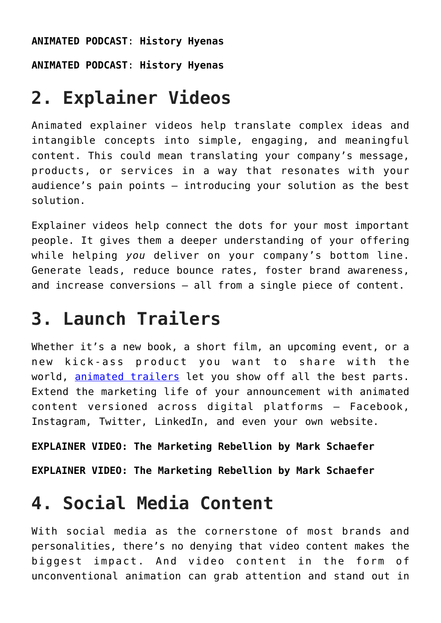**ANIMATED PODCAST**: **History Hyenas**

**ANIMATED PODCAST**: **History Hyenas**

# **2. Explainer Videos**

Animated explainer videos help translate complex ideas and intangible concepts into simple, engaging, and meaningful content. This could mean translating your company's message, products, or services in a way that resonates with your audience's pain points — introducing your solution as the best solution.

Explainer videos help connect the dots for your most important people. It gives them a deeper understanding of your offering while helping *you* deliver on your company's bottom line. Generate leads, reduce bounce rates, foster brand awareness, and increase conversions – all from a single piece of content.

#### **3. Launch Trailers**

Whether it's a new book, a short film, an upcoming event, or a new kick-ass product you want to share with the world, [animated trailers](https://www.foodfightstudios.com/ffs1/trailers/) let you show off all the best parts. Extend the marketing life of your announcement with animated content versioned across digital platforms – Facebook, Instagram, Twitter, LinkedIn, and even your own website.

#### **EXPLAINER VIDEO: The Marketing Rebellion by Mark Schaefer**

**EXPLAINER VIDEO: The Marketing Rebellion by Mark Schaefer**

## **4. Social Media Content**

With social media as the cornerstone of most brands and personalities, there's no denying that video content makes the biggest impact. And video content in the form of unconventional animation can grab attention and stand out in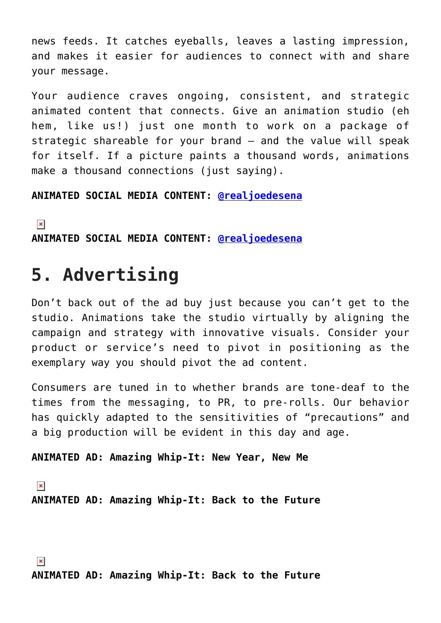news feeds. It catches eyeballs, leaves a lasting impression, and makes it easier for audiences to connect with and share your message.

Your audience craves ongoing, consistent, and strategic animated content that connects. Give an animation studio (eh hem, like us!) just one month to work on a package of strategic shareable for your brand – and the value will speak for itself. If a picture paints a thousand words, animations make a thousand connections (just saying).

**ANIMATED SOCIAL MEDIA CONTENT: [@realjoedesena](https://www.instagram.com/realjoedesena/?hl=en)**

 $\pmb{\times}$ 

**ANIMATED SOCIAL MEDIA CONTENT: [@realjoedesena](https://www.instagram.com/realjoedesena/?hl=en)**

#### **5. Advertising**

Don't back out of the ad buy just because you can't get to the studio. Animations take the studio virtually by aligning the campaign and strategy with innovative visuals. Consider your product or service's need to pivot in positioning as the exemplary way you should pivot the ad content.

Consumers are tuned in to whether brands are tone-deaf to the times from the messaging, to PR, to pre-rolls. Our behavior has quickly adapted to the sensitivities of "precautions" and a big production will be evident in this day and age.

**ANIMATED AD: Amazing Whip-It: New Year, New Me**

 $\pmb{\times}$ **ANIMATED AD: Amazing Whip-It: Back to the Future**

 $\pmb{\times}$ 

**ANIMATED AD: Amazing Whip-It: Back to the Future**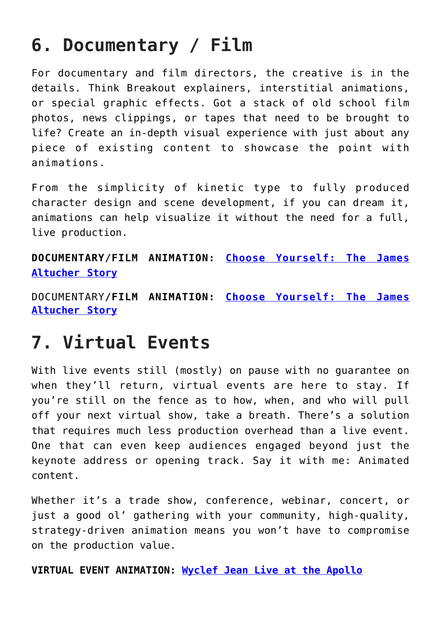# **6. Documentary / Film**

For documentary and film directors, the creative is in the details. Think Breakout explainers, interstitial animations, or special graphic effects. Got a stack of old school film photos, news clippings, or tapes that need to be brought to life? Create an in-depth visual experience with just about any piece of existing content to showcase the point with animations.

From the simplicity of kinetic type to fully produced character design and scene development, if you can dream it, animations can help visualize it without the need for a full, live production.

**DOCUMENTARY/FILM ANIMATION: [Choose Yourself: The James](https://www.amazon.com/Choose-Yourself-James-Altucher-Story/dp/B08JD3PR31/ref=sr_1_2?dchild=1&keywords=choose+yourself+james+altucher&qid=1600817127&s=instant-video&sr=1-2) [Altucher Story](https://www.amazon.com/Choose-Yourself-James-Altucher-Story/dp/B08JD3PR31/ref=sr_1_2?dchild=1&keywords=choose+yourself+james+altucher&qid=1600817127&s=instant-video&sr=1-2)**

DOCUMENTARY**/FILM ANIMATION: [Choose Yourself: The James](https://www.amazon.com/Choose-Yourself-James-Altucher-Story/dp/B08JD3PR31/ref=sr_1_2?dchild=1&keywords=choose+yourself+james+altucher&qid=1600817127&s=instant-video&sr=1-2) [Altucher Story](https://www.amazon.com/Choose-Yourself-James-Altucher-Story/dp/B08JD3PR31/ref=sr_1_2?dchild=1&keywords=choose+yourself+james+altucher&qid=1600817127&s=instant-video&sr=1-2)**

#### **7. Virtual Events**

With live events still (mostly) on pause with no guarantee on when they'll return, virtual events are here to stay. If you're still on the fence as to how, when, and who will pull off your next virtual show, take a breath. There's a solution that requires much less production overhead than a live event. One that can even keep audiences engaged beyond just the keynote address or opening track. Say it with me: Animated content.

Whether it's a trade show, conference, webinar, concert, or just a good ol' gathering with your community, high-quality, strategy-driven animation means you won't have to compromise on the production value.

**VIRTUAL EVENT ANIMATION: [Wyclef Jean Live at the Apollo](https://www.apollotheater.org/event/wyclef-jean-live-at-the-apollo/)**